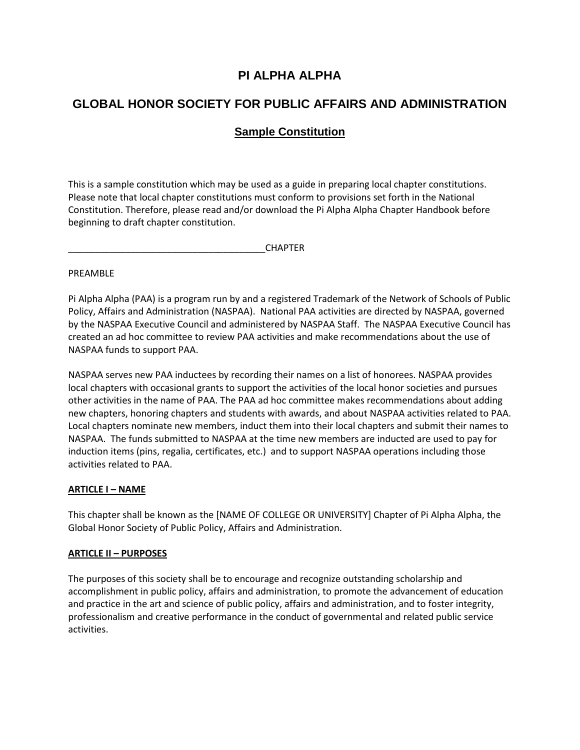# **PI ALPHA ALPHA**

# **GLOBAL HONOR SOCIETY FOR PUBLIC AFFAIRS AND ADMINISTRATION**

# **Sample Constitution**

This is a sample constitution which may be used as a guide in preparing local chapter constitutions. Please note that local chapter constitutions must conform to provisions set forth in the National Constitution. Therefore, please read and/or download the Pi Alpha Alpha Chapter Handbook before beginning to draft chapter constitution.

\_\_\_\_\_\_\_\_\_\_\_\_\_\_\_\_\_\_\_\_\_\_\_\_\_\_\_\_\_\_\_\_\_\_\_\_\_\_CHAPTER

#### PREAMBLE

Pi Alpha Alpha (PAA) is a program run by and a registered Trademark of the Network of Schools of Public Policy, Affairs and Administration (NASPAA). National PAA activities are directed by NASPAA, governed by the NASPAA Executive Council and administered by NASPAA Staff. The NASPAA Executive Council has created an ad hoc committee to review PAA activities and make recommendations about the use of NASPAA funds to support PAA.

NASPAA serves new PAA inductees by recording their names on a list of honorees. NASPAA provides local chapters with occasional grants to support the activities of the local honor societies and pursues other activities in the name of PAA. The PAA ad hoc committee makes recommendations about adding new chapters, honoring chapters and students with awards, and about NASPAA activities related to PAA. Local chapters nominate new members, induct them into their local chapters and submit their names to NASPAA. The funds submitted to NASPAA at the time new members are inducted are used to pay for induction items (pins, regalia, certificates, etc.) and to support NASPAA operations including those activities related to PAA.

#### **ARTICLE I – NAME**

This chapter shall be known as the [NAME OF COLLEGE OR UNIVERSITY] Chapter of Pi Alpha Alpha, the Global Honor Society of Public Policy, Affairs and Administration.

#### **ARTICLE II – PURPOSES**

The purposes of this society shall be to encourage and recognize outstanding scholarship and accomplishment in public policy, affairs and administration, to promote the advancement of education and practice in the art and science of public policy, affairs and administration, and to foster integrity, professionalism and creative performance in the conduct of governmental and related public service activities.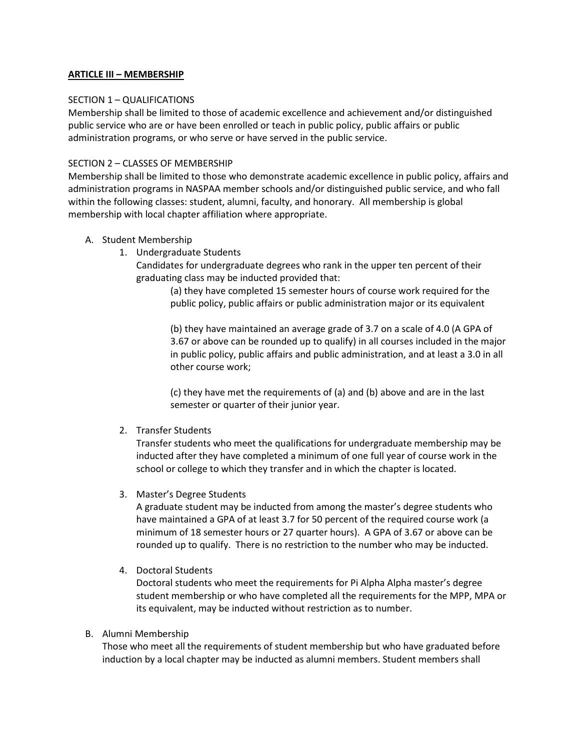#### **ARTICLE III – MEMBERSHIP**

#### SECTION 1 – QUALIFICATIONS

Membership shall be limited to those of academic excellence and achievement and/or distinguished public service who are or have been enrolled or teach in public policy, public affairs or public administration programs, or who serve or have served in the public service.

#### SECTION 2 – CLASSES OF MEMBERSHIP

Membership shall be limited to those who demonstrate academic excellence in public policy, affairs and administration programs in NASPAA member schools and/or distinguished public service, and who fall within the following classes: student, alumni, faculty, and honorary. All membership is global membership with local chapter affiliation where appropriate.

- A. Student Membership
	- 1. Undergraduate Students

Candidates for undergraduate degrees who rank in the upper ten percent of their graduating class may be inducted provided that:

(a) they have completed 15 semester hours of course work required for the public policy, public affairs or public administration major or its equivalent

(b) they have maintained an average grade of 3.7 on a scale of 4.0 (A GPA of 3.67 or above can be rounded up to qualify) in all courses included in the major in public policy, public affairs and public administration, and at least a 3.0 in all other course work;

(c) they have met the requirements of (a) and (b) above and are in the last semester or quarter of their junior year.

2. Transfer Students

Transfer students who meet the qualifications for undergraduate membership may be inducted after they have completed a minimum of one full year of course work in the school or college to which they transfer and in which the chapter is located.

3. Master's Degree Students

A graduate student may be inducted from among the master's degree students who have maintained a GPA of at least 3.7 for 50 percent of the required course work (a minimum of 18 semester hours or 27 quarter hours). A GPA of 3.67 or above can be rounded up to qualify. There is no restriction to the number who may be inducted.

4. Doctoral Students

Doctoral students who meet the requirements for Pi Alpha Alpha master's degree student membership or who have completed all the requirements for the MPP, MPA or its equivalent, may be inducted without restriction as to number.

#### B. Alumni Membership

Those who meet all the requirements of student membership but who have graduated before induction by a local chapter may be inducted as alumni members. Student members shall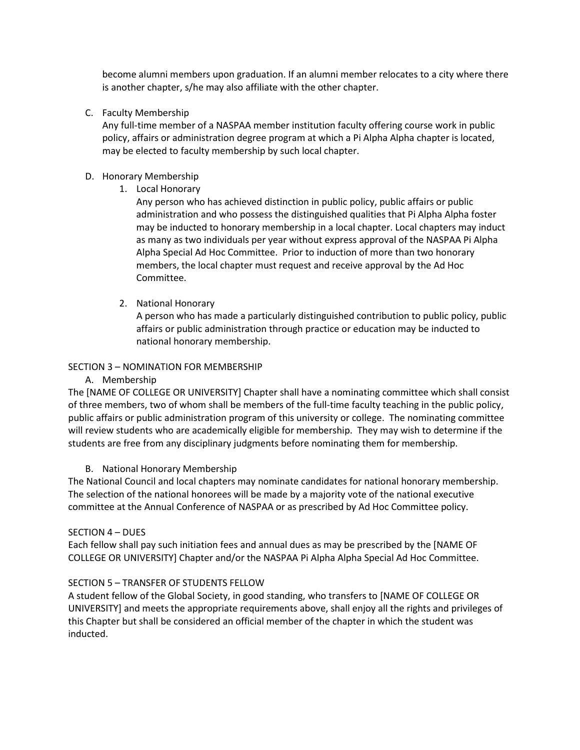become alumni members upon graduation. If an alumni member relocates to a city where there is another chapter, s/he may also affiliate with the other chapter.

C. Faculty Membership

Any full-time member of a NASPAA member institution faculty offering course work in public policy, affairs or administration degree program at which a Pi Alpha Alpha chapter is located, may be elected to faculty membership by such local chapter.

## D. Honorary Membership

1. Local Honorary

Any person who has achieved distinction in public policy, public affairs or public administration and who possess the distinguished qualities that Pi Alpha Alpha foster may be inducted to honorary membership in a local chapter. Local chapters may induct as many as two individuals per year without express approval of the NASPAA Pi Alpha Alpha Special Ad Hoc Committee. Prior to induction of more than two honorary members, the local chapter must request and receive approval by the Ad Hoc Committee.

2. National Honorary

A person who has made a particularly distinguished contribution to public policy, public affairs or public administration through practice or education may be inducted to national honorary membership.

## SECTION 3 – NOMINATION FOR MEMBERSHIP

A. Membership

The [NAME OF COLLEGE OR UNIVERSITY] Chapter shall have a nominating committee which shall consist of three members, two of whom shall be members of the full-time faculty teaching in the public policy, public affairs or public administration program of this university or college. The nominating committee will review students who are academically eligible for membership. They may wish to determine if the students are free from any disciplinary judgments before nominating them for membership.

# B. National Honorary Membership

The National Council and local chapters may nominate candidates for national honorary membership. The selection of the national honorees will be made by a majority vote of the national executive committee at the Annual Conference of NASPAA or as prescribed by Ad Hoc Committee policy.

#### SECTION 4 – DUES

Each fellow shall pay such initiation fees and annual dues as may be prescribed by the [NAME OF COLLEGE OR UNIVERSITY] Chapter and/or the NASPAA Pi Alpha Alpha Special Ad Hoc Committee.

#### SECTION 5 – TRANSFER OF STUDENTS FELLOW

A student fellow of the Global Society, in good standing, who transfers to [NAME OF COLLEGE OR UNIVERSITY] and meets the appropriate requirements above, shall enjoy all the rights and privileges of this Chapter but shall be considered an official member of the chapter in which the student was inducted.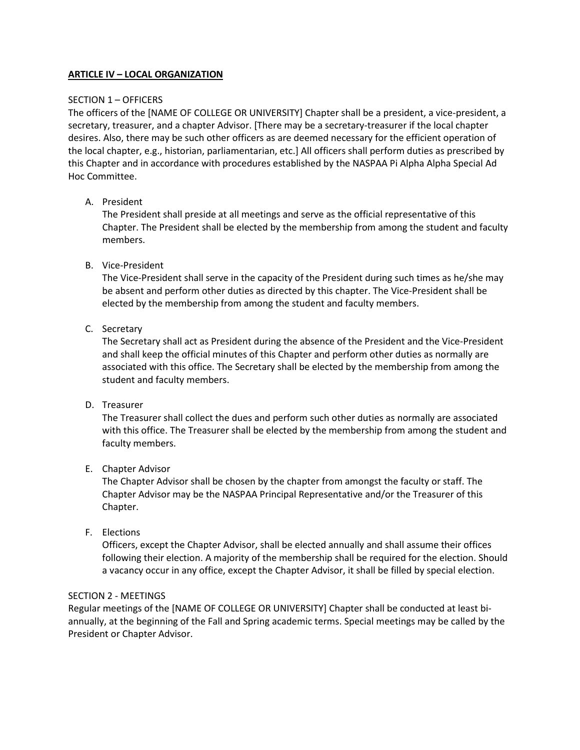## **ARTICLE IV – LOCAL ORGANIZATION**

#### SECTION 1 – OFFICERS

The officers of the [NAME OF COLLEGE OR UNIVERSITY] Chapter shall be a president, a vice-president, a secretary, treasurer, and a chapter Advisor. [There may be a secretary-treasurer if the local chapter desires. Also, there may be such other officers as are deemed necessary for the efficient operation of the local chapter, e.g., historian, parliamentarian, etc.] All officers shall perform duties as prescribed by this Chapter and in accordance with procedures established by the NASPAA Pi Alpha Alpha Special Ad Hoc Committee.

## A. President

The President shall preside at all meetings and serve as the official representative of this Chapter. The President shall be elected by the membership from among the student and faculty members.

## B. Vice-President

The Vice-President shall serve in the capacity of the President during such times as he/she may be absent and perform other duties as directed by this chapter. The Vice-President shall be elected by the membership from among the student and faculty members.

## C. Secretary

The Secretary shall act as President during the absence of the President and the Vice-President and shall keep the official minutes of this Chapter and perform other duties as normally are associated with this office. The Secretary shall be elected by the membership from among the student and faculty members.

#### D. Treasurer

The Treasurer shall collect the dues and perform such other duties as normally are associated with this office. The Treasurer shall be elected by the membership from among the student and faculty members.

#### E. Chapter Advisor

The Chapter Advisor shall be chosen by the chapter from amongst the faculty or staff. The Chapter Advisor may be the NASPAA Principal Representative and/or the Treasurer of this Chapter.

F. Elections

Officers, except the Chapter Advisor, shall be elected annually and shall assume their offices following their election. A majority of the membership shall be required for the election. Should a vacancy occur in any office, except the Chapter Advisor, it shall be filled by special election.

#### SECTION 2 - MEETINGS

Regular meetings of the [NAME OF COLLEGE OR UNIVERSITY] Chapter shall be conducted at least biannually, at the beginning of the Fall and Spring academic terms. Special meetings may be called by the President or Chapter Advisor.